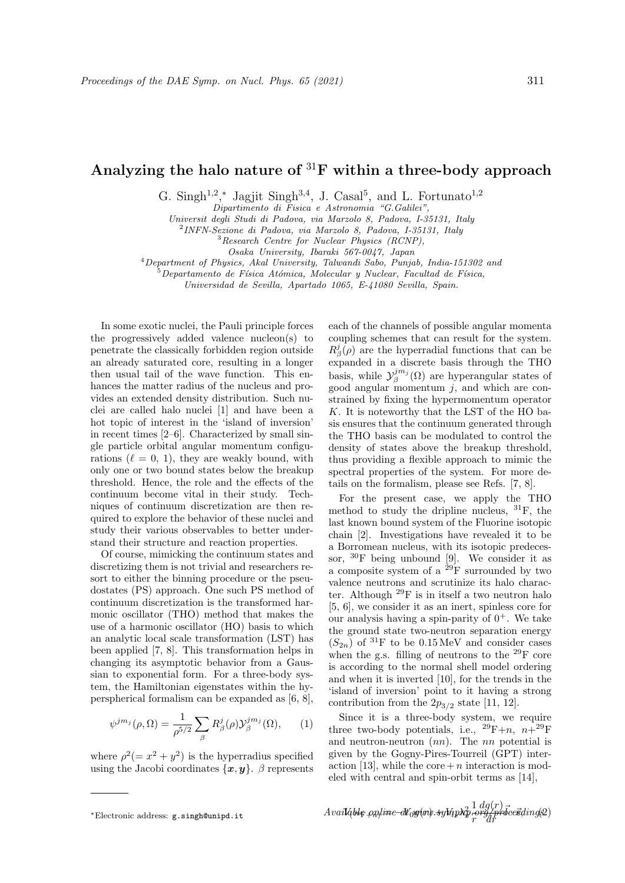## Analyzing the halo nature of  ${}^{31}F$  within a three-body approach

G. Singh<sup>1,2</sup>,\* Jagjit Singh<sup>3,4</sup>, J. Casal<sup>5</sup>, and L. Fortunato<sup>1,2</sup>

Dipartimento di Fisica e Astronomia "G.Galilei",

Universit degli Studi di Padova, via Marzolo 8, Padova, I-35131, Italy

2 INFN-Sezione di Padova, via Marzolo 8, Padova, I-35131, Italy

<sup>3</sup>Research Centre for Nuclear Physics (RCNP), Osaka University, Ibaraki 567-0047, Japan

<sup>4</sup>Department of Physics, Akal University, Talwandi Sabo, Punjab, India-151302 and

 $^5$ Departamento de Física Atómica, Molecular y Nuclear, Facultad de Física,

Universidad de Sevilla, Apartado 1065, E-41080 Sevilla, Spain.

In some exotic nuclei, the Pauli principle forces the progressively added valence nucleon(s) to penetrate the classically forbidden region outside an already saturated core, resulting in a longer then usual tail of the wave function. This enhances the matter radius of the nucleus and provides an extended density distribution. Such nuclei are called halo nuclei [1] and have been a hot topic of interest in the 'island of inversion' in recent times [2–6]. Characterized by small single particle orbital angular momentum configurations  $(\ell = 0, 1)$ , they are weakly bound, with only one or two bound states below the breakup threshold. Hence, the role and the effects of the continuum become vital in their study. Techniques of continuum discretization are then required to explore the behavior of these nuclei and study their various observables to better understand their structure and reaction properties.

Of course, mimicking the continuum states and discretizing them is not trivial and researchers resort to either the binning procedure or the pseudostates (PS) approach. One such PS method of continuum discretization is the transformed harmonic oscillator (THO) method that makes the use of a harmonic oscillator (HO) basis to which an analytic local scale transformation (LST) has been applied [7, 8]. This transformation helps in changing its asymptotic behavior from a Gaussian to exponential form. For a three-body system, the Hamiltonian eigenstates within the hyperspherical formalism can be expanded as [6, 8],

$$
\psi^{jm_j}(\rho,\Omega) = \frac{1}{\rho^{5/2}} \sum_{\beta} R_{\beta}^j(\rho) \mathcal{Y}_{\beta}^{jm_j}(\Omega), \qquad (1)
$$

where  $\rho^2 (= x^2 + y^2)$  is the hyperradius specified using the Jacobi coordinates  $\{x, y\}$ . β represents

each of the channels of possible angular momenta coupling schemes that can result for the system.  $R^j_\beta(\rho)$  are the hyperradial functions that can be expanded in a discrete basis through the THO basis, while  $\mathcal{Y}_{\beta}^{j m_j}(\Omega)$  are hyperangular states of good angular momentum  $i$ , and which are constrained by fixing the hypermomentum operator K. It is noteworthy that the LST of the HO basis ensures that the continuum generated through the THO basis can be modulated to control the density of states above the breakup threshold, thus providing a flexible approach to mimic the spectral properties of the system. For more details on the formalism, please see Refs. [7, 8].

For the present case, we apply the THO method to study the dripline nucleus, <sup>31</sup>F, the last known bound system of the Fluorine isotopic chain [2]. Investigations have revealed it to be a Borromean nucleus, with its isotopic predecessor,  ${}^{30}$ F being unbound [9]. We consider it as a composite system of a  $^{29}$ F surrounded by two valence neutrons and scrutinize its halo character. Although  $^{29}$ F is in itself a two neutron halo [5, 6], we consider it as an inert, spinless core for our analysis having a spin-parity of  $0^+$ . We take the ground state two-neutron separation energy  $(S_{2n})$  of <sup>31</sup>F to be 0.15 MeV and consider cases when the g.s. filling of neutrons to the <sup>29</sup>F core is according to the normal shell model ordering and when it is inverted [10], for the trends in the 'island of inversion' point to it having a strong contribution from the  $2p_{3/2}$  state [11, 12].

Since it is a three-body system, we require three two-body potentials, i.e.,  $^{29}F+n$ ,  $n+^{29}F$ and neutron-neutron  $(nn)$ . The nn potential is given by the Gogny-Pires-Tourreil (GPT) interaction [13], while the core  $+n$  interaction is modeled with central and spin-orbit terms as [14],

$$
\textit{Available-papline-allog}(m) \cdot \textit{sykipp} \cdot \textit{pr-ohlog}(m) \cdot \textit{sgkiptic} \cdot \textit{pr-ohlog}(m) \cdot \textit{pr-ohlog}(m) \cdot \textit{pr-ohlog}(m) \cdot \textit{pr-ohlog}(m) \cdot \textit{pr-ohlog}(m) \cdot \textit{pr-ohlog}(m) \cdot \textit{pr-ohlog}(m) \cdot \textit{pr-ohlog}(m) \cdot \textit{pr-ohlog}(m) \cdot \textit{pr-ohlog}(m) \cdot \textit{pr-ohlog}(m) \cdot \textit{pr-ohlog}(m) \cdot \textit{pr-ohlog}(m) \cdot \textit{pr-ohlog}(m) \cdot \textit{pr-ohlog}(m) \cdot \textit{pr-ohlog}(m) \cdot \textit{pr-ohlog}(m) \cdot \textit{pr-ohlog}(m) \cdot \textit{pr-ohlog}(m) \cdot \textit{pr-ohlog}(m) \cdot \textit{pr-ohlog}(m) \cdot \textit{pr-ohlog}(m) \cdot \textit{pr-ohlog}(m) \cdot \textit{pr-ohlog}(m) \cdot \textit{pr-ohlog}(m) \cdot \textit{pr-ohlog}(m) \cdot \textit{pr-ohlog}(m) \cdot \textit{pr-ohlog}(m) \cdot \textit{pr-ohlog}(m) \cdot \textit{pr-ohlog}(m) \cdot \textit{pr-ohlog}(m) \cdot \textit{pr-ohlog}(m) \cdot \textit{pr-ohlog}(m) \cdot \textit{pr-ohlog}(m) \cdot \textit{pr-ohlog}(m) \cdot \textit{pr-ohlog}(m) \cdot \textit{pr-ohlog}(m) \cdot \textit{pr-ohlog}(m) \cdot \textit{pr-ohlog}(m) \cdot \textit{pr-ohlog}(m) \cdot \textit{pr-ohlog}(m) \cdot \textit{pr-ohlog}(m) \cdot \textit{pr-ohlog}(m) \cdot \textit{pr-ohlog}(m) \cdot \textit{pr-ohlog}(m) \cdot \textit{pr-ohlog}(m) \cdot \textit{pr-ohlog}(m) \cdot \textit{pr-ohlog}(m) \cdot \textit{pr-ohlog}(m) \cdot \textit{pr-ohlog}(m) \cdot \textit{pr-ohlog}(m) \cdot \textit{pr-ohlog}(m) \cdot \textit{pr-ohlog}(m) \cdot \textit{pr-ohlog}(m) \cdot \textit{pr-ohlog
$$

<sup>∗</sup>Electronic address: g.singh@unipd.it